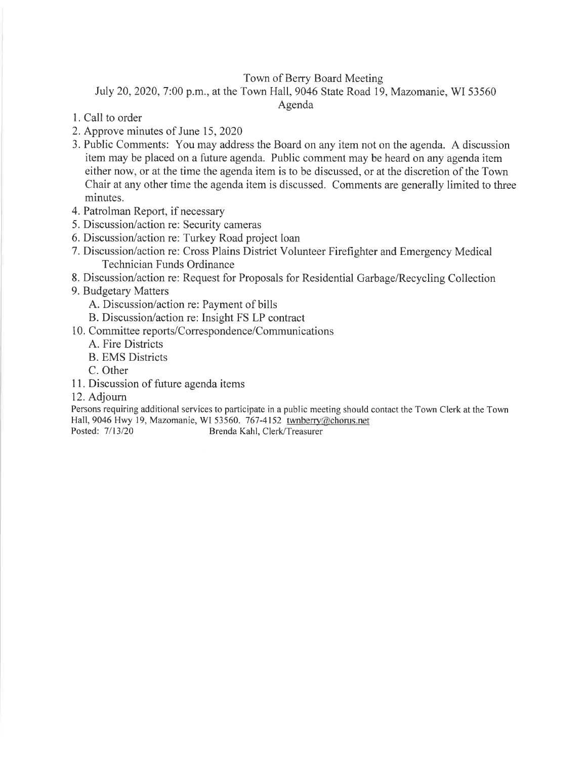### Town of Berry Board Meeting

July 20, 2020, 7:00 p.m., at the Town Hall, 9046 State Road 19, Mazomanie, WI 53560

Agenda

- l. Call to order
- 2. Approve minutes of June 15,2020
- 3. Public Comments: You may address the Board on any item not on the agenda. A discussion item may be placed on a future agenda. Public comment may be heard on any agenda item either now, or at the time the agenda item is to be discussed, or at the discretion of the Town Chair at any other time the agenda item is discussed. Comments are generally limited to three minutes.
- 4. Patrolman Report, if necessary
- 5. Discussion/action re: Security cameras
- 6. Discussion/action re: Turkey Road project loan
- 7. Discussion/action re: Cross Plains District Volunteer Firefighter and Emergency Medical Technician Funds Ordinance
- 8. Discussior/action re: Request for Proposals for Residential Garbage/Recycling Collection
- 9. Budgetary Matters
	- A. Discussion/action re: Payment of bills
	- B. Discussion/action re: Insight FS LP contract
- <sup>1</sup>0. Committee reports/Correspondence/Communications
	- A. Fire Districts
	- B. EMS Districts
	- C. Other
- 11. Discussion of future agenda items

#### 12. Adjourn

Persons requiring additional services to participate in a public meeting should contact the Town Clerk at the Town Hall,9046 Hwy 19, Mazomanie, WI 53560. 767-4152 twnberry@chorus.net Posted: 7/13/20 Brenda Kahl, Clerk/Treasurer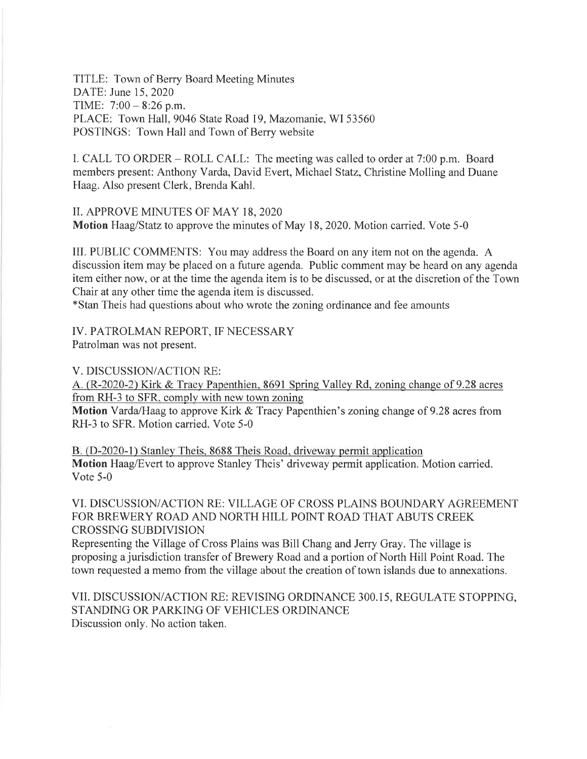TITLE: Town of Berry Board Meeting Minutes DATE: June 15,2020 TIME:  $7:00 - 8:26$  p.m. PLACE: Town Hall,9046 State Road 19, Mazomanie, WI 53560 POSTINGS: Town Hall and Town of Berry website

I. CALL TO ORDER – ROLL CALL: The meeting was called to order at 7:00 p.m. Board members present: Anthony Varda, David Evert, Michael Statz, Christine Molling and Duane Haag. Also present Clerk, Brenda Kahl.

II. APPROVE MINUTES OF MAY 18, 2020 Motion Haag/Statz to approve the minutes of May 18, 2020. Motion carried. Vote 5-0

III. PUBLIC COMMENTS: You may address the Board on any item not on the agenda. A discussion item may be placed on a future agenda. Public comment may be heard on any agenda item either now, or at the time the agenda item is to be discussed, or at the discretion of the Town Chair at any other time the agenda item is discussed.

\*Stan Theis had questions about who wrote the zoning ordinance and fee amounts

IV. PATROLMAN REPORT, IF NECESSARY Patrolman was not present.

V. DISCUSSION/ACTION RE:

A. (R-2020-2) Kirk & Tracy Papenthien, 8691 Spring Valley Rd, zoning change of 9.28 acres from RH-3 to SFR, comply with new town zoning

Motion Varda/Haag to approve Kirk & Tracy Papenthien's zoning change of 9.28 acres from RH-3 to SFR. Motion carried. Vote 5-0

B. (D-2020-1) Stanley Theis, 8688 Theis Road, driveway permit application Motion Haag/Evert to approve Stanley Theis' driveway permit application. Motion carried. Vote 5-0

VI. DISCUSSION/ACTION RE: VILLAGE OF CROSS PLAINS BOUNDARY AGREEMENT FOR BREWERY ROAD AND NORTH HILL POINT ROAD THAT ABUTS CREEK CROSSING SUBDIVISION

Representing the Village of Cross Plains was Bill Chang and Jerry Gray. The village is proposing a jurisdiction transfer of Brewery Road and a portion of North Hill Point Road. The town requested a memo from the village about the creation of town islands due to annexations.

VII. DISCUSSION/ACTION RE: REVISING ORDINANCE 300.15, REGULATE STOPPING, STANDING OR PARKING OF VEHICLES ORDINANCE Discussion only. No action taken.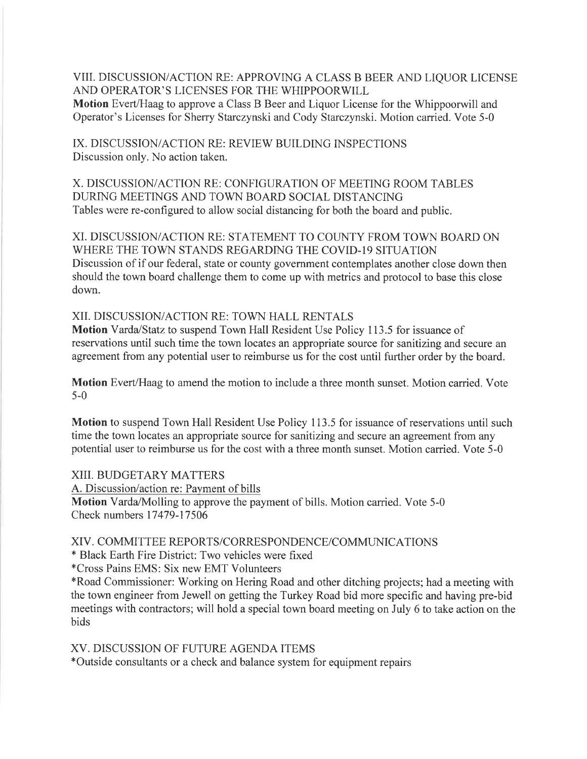VIII. DISCUSSION/ACTION RE: APPROVING A CLASS B BEER AND LIQUOR LICENSE AND OPERATOR'S LICENSES FOR THE WHIPPOORWILL Motion Evert/Haag to approve a Class B Beer and Liquor License for the Whippoorwill and Operator's Licenses for Sheny Starczynski and Cody Starczynski. Motion carried. Vote 5-0

IX. DISCUSSION/ACTION RE: REVIEW BUILDTNG INSPECTIONS Discussion only. No action taken.

X. DISCUSSION/ACTION RE: CONFIGURATION OF MEETING ROOM TABLES DURING MEETINGS AND TOWN BOARD SOCIAL DISTANCING Tables were re-configured to allow social distancing for both the board and public.

XI. DISCUSSION/ACTION RE: STATEMENT TO COUNTY FROM TOWN BOARD ON WHERE THE TOWN STANDS REGARDING THE COVID-Ig SITUATION Discussion of if our federal, state or county government contemplates another close down then should the town board challenge them to come up with metrics and protocol to base this close down.

XII. DISCUSSION/ACTION RE: TOWN HALL RENTALS

Motion Varda/Statz to suspend Town Hall Resident Use Policy 113.5 for issuance of reservations until such time the town locates an appropriate source for sanitizing and secure an agreement from any potential user to reimburse us for the cost until further order by the board.

Motion Evert/Haag to amend the motion to include a three month sunset. Motion carried. Vote 5-0

Motion to suspend Town Hall Resident Use Policy 113.5 for issuance of reservations until such time the town locates an appropriate source for sanitizing and secure an agreement from any potential user to reimburse us for the cost with a three month sunset. Motion carried. Vote 5-0

XIII. BUDGETARY MATTERS

A. Discussion/action re: Payment of bills Motion Varda/Molling to approve the payment of bills. Motion carried. Vote 5-0 Check numbers 17479-17506

### XIV. COMMITTEE REPORTS/CORRESPONDENCE/COMMLINICATIONS

\* Black Earth Fire District: Two vehicles were fixed

\*Cross Pains EMS: Six new EMT Volunteers

\*Road Commissioner: Working on Hering Road and other ditching projects; had a meeting with the town engineer from Jewell on getting the Turkey Road bid more specific and having pre-bid meetings with contractors; will hold a special town board meeting on July 6 to take action on the bids

XV. DISCUSSION OF FUTURE AGENDA ITEMS

\*Outside consultants or a check and balance system for equipment repairs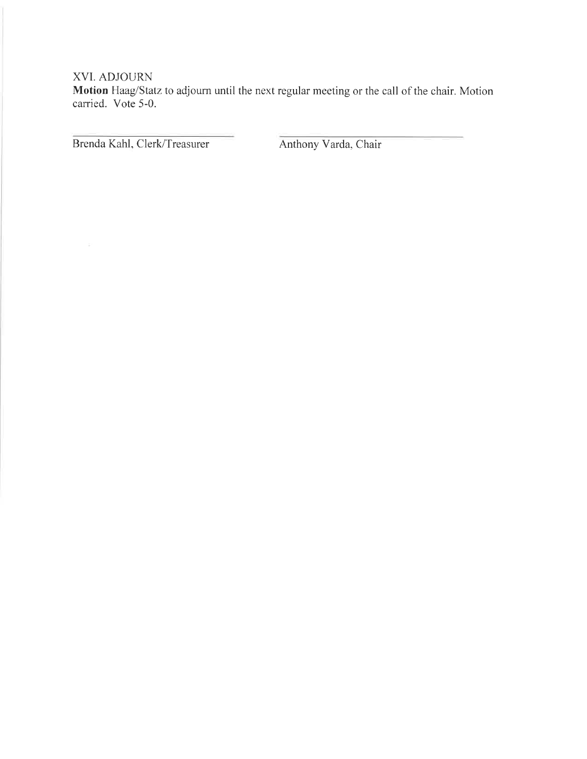### XVI. ADJOURN

Motion Haag/Statz to adjourn until the next regular meeting or the call of the chair. Motion carried. Vote 5-0.

Brenda Kahl, Clerk/Treasurer Anthony Varda, Chair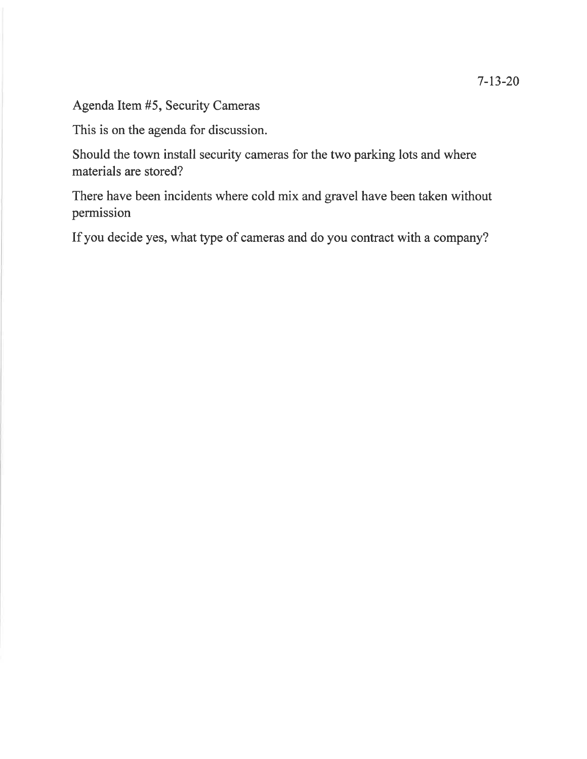Agenda Item #5, Security Cameras

This is on the agenda for discussion.

Should the town install security cameras for the two parking lots and where materials are stored?

There have been incidents where cold mix and gravel have been taken without permission

If you decide yes, what type of cameras and do you contract with a company?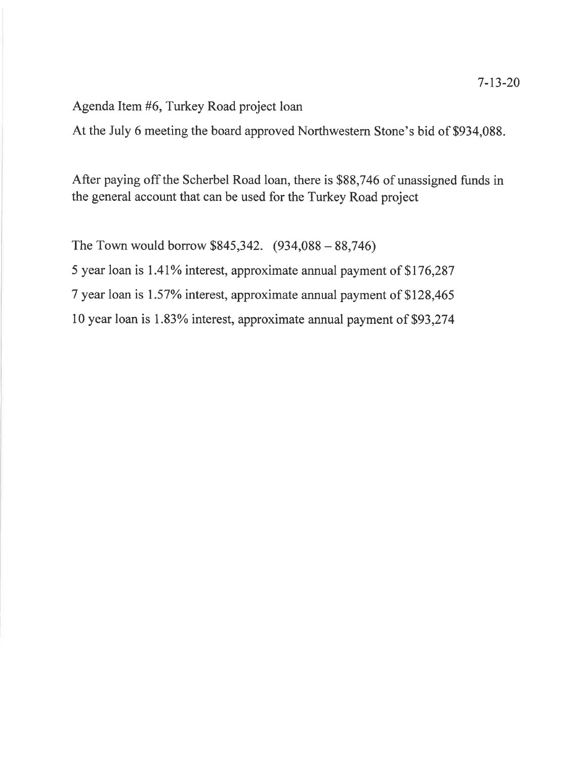Agenda Item #6, Turkey Road project loan

At the July 6 meeting the board approved Northwestern Stone's bid of \$934,088.

After paying off the Scherbel Road loan, there is \$88,746 of unassigned funds in the general account that can be used for the Turkey Road project

The Town would borrow \$845,342. (934,088 - 88,746)

5 year loan is I.4I% interest, approximate annual payment of 5176,287

7 year loan is I.57% interest, approximate annual payment of \$128,465

10 year loan is 1.83% interest, approximate annual payment of \$93,274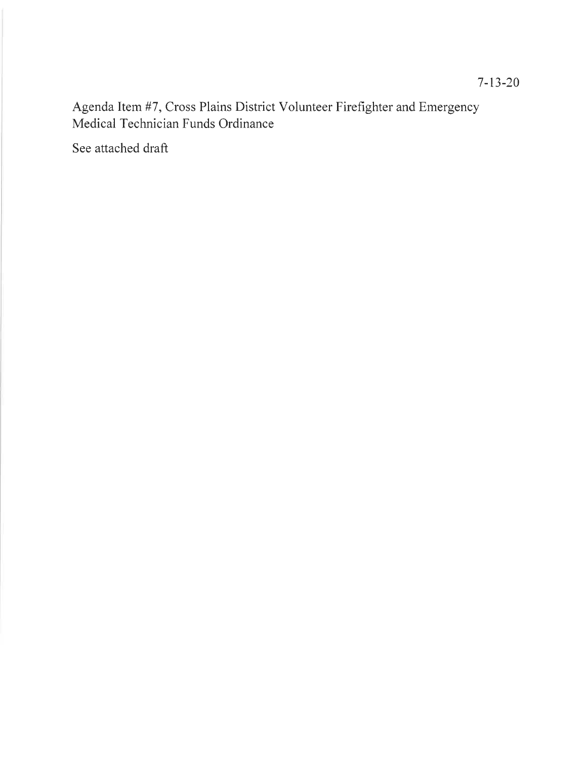Agenda Item #7, Cross Plains District Volunteer Firefighter and Emergency Medical Technician Funds Ordinance

See attached draft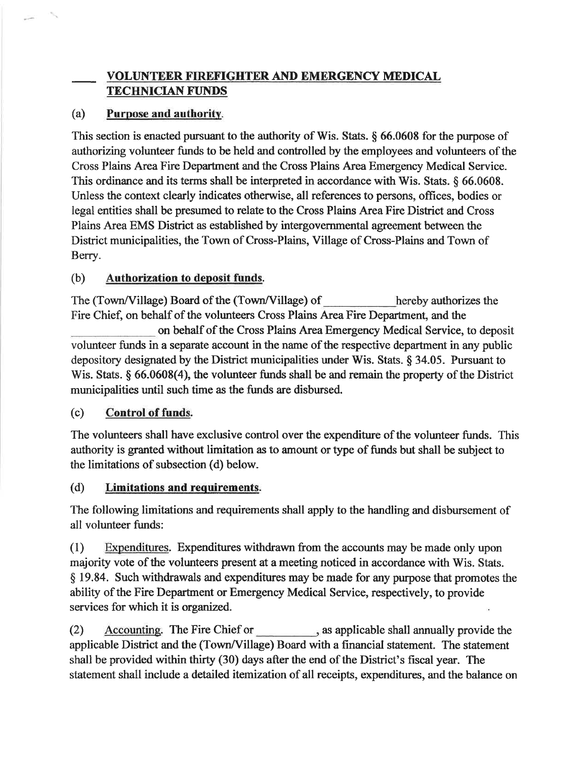# VOLUNTEER FIREFIGHTER AND EMERGENCY MEDICAL TECHMCIAN FUNDS

# (a) Purpose and authoritv.

This section is enacted pursuant to the authority of Wis. Stats. § 66.0608 for the purpose of authorizing volunteer funds to be held and controlled by the employees and volunteers of the Cross Plains Area Fire Deparfinent and the Cross Plains Area Emergency Medical Service. This ordinance and its terms shall be interpreted in accordance with Wis. Stats. \$ 66.0608. Unless the context clearly indicates otherwise, all references to persons, offices, bodies or legal entities shall be presumed to relate to the Cross Plains Area Fire District and Cross Plains Area EMS District as established by intergovernmental agreement between the District municipalities, the Town of Cross-Plains, Village of Cross-Plains and Town of Berry.

## (b) Authorization to deposit funds.

The (Town/Village) Board of the (Town/Village) of hereby authorizes the Fire Chief, on behalf of the volunteers Cross Plains Area Fire Department, and the on behalf of the Cross Plains Area Emergency Medical Service, to deposit volunteer funds in a separate account in the name of the respective department in any public depository designated by the District municipalities under Wis. Stats.  $\S$  34.05. Pursuant to Wis. Stats. § 66.0608(4), the volunteer funds shall be and remain the property of the District municipalities until such time as the funds are disbursed.

## (c) Control of funds.

The volunteers shall have exclusive control over the expenditure of the volunteer funds. This authority is granted without limitation as to amount or type of funds but shall be subject to the limitations of subsection (d) below.

## (d) Limitations and requirements.

The following limitations and requirements shall apply to the handling and disbursement of all volunteer funds:

(1) Expendifures. Expenditures withdrawn from the accounts may be made only upon majority vote of the volunteers present at a meeting noticed in accordance with Wis. Stats. \$ 19.84. Such withdrawals and expenditures may be made for any purpose that promotes the ability of the Fire Department or Emergency Medical Service, respectively, to provide services for which it is organized.

(2) Accounting. The Fire Chief or as applicable shall annually provide the applicable District and the (Towr/Village) Board with a financial statement. The statement shall be provided within thirty (30) days after the end of the District's fiscal year. The statement shall include a detailed itemization of all receipts, expenditures, and the balance on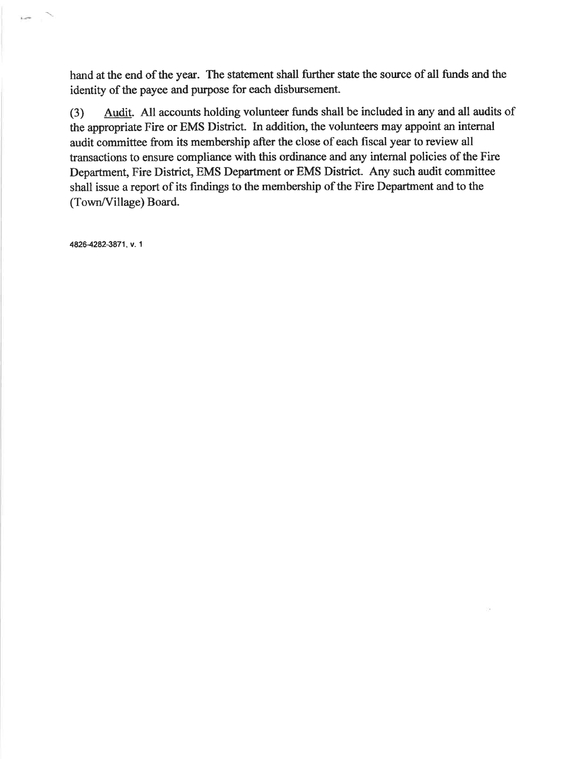hand at the end of the year. The statement shall further state the source of all funds and the identity of the payee and purpose for each disbursement.

(3) Audit. All accounts holding volunteer funds shall be included in any and all audits of the appropriate Fire or EMS District. In addition, the volunteers may appoint an internal audit committee from its membership after the close of each fiscal year to review all transactions to ensure compliance with this ordinance and any internal policies of the Fire Department, Fire District, EMS Department or EMS District. Any such audit committee shall issue a report of its findings to the membership of the Fire Department and to the (Town/Village) Board.

48264282-3871 , v. 1

 $1 - 1$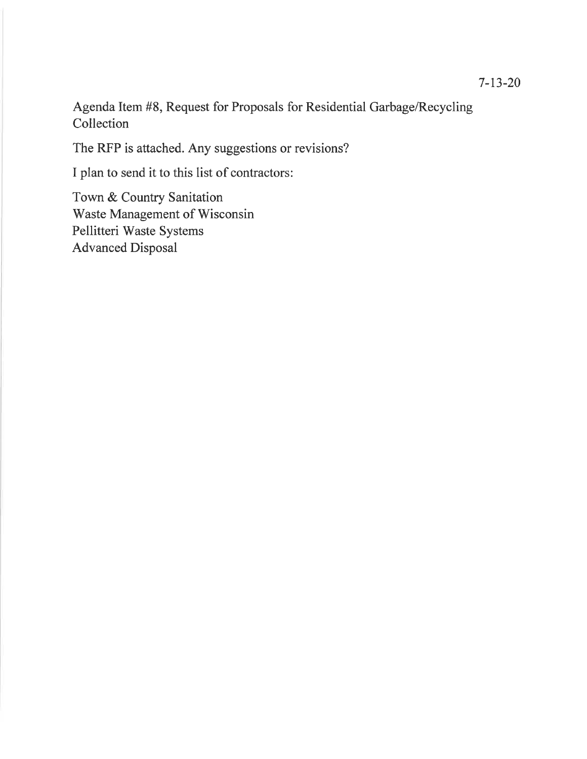Agenda Item #8, Request for Proposals for Residential Garbage/Recycling Collection

The RFP is attached. Any suggestions or revisions?

I plan to send it to this list of contractors:

Town & Country Sanitation Waste Management of Wisconsin Pellitteri Waste Systems Advanced Disposal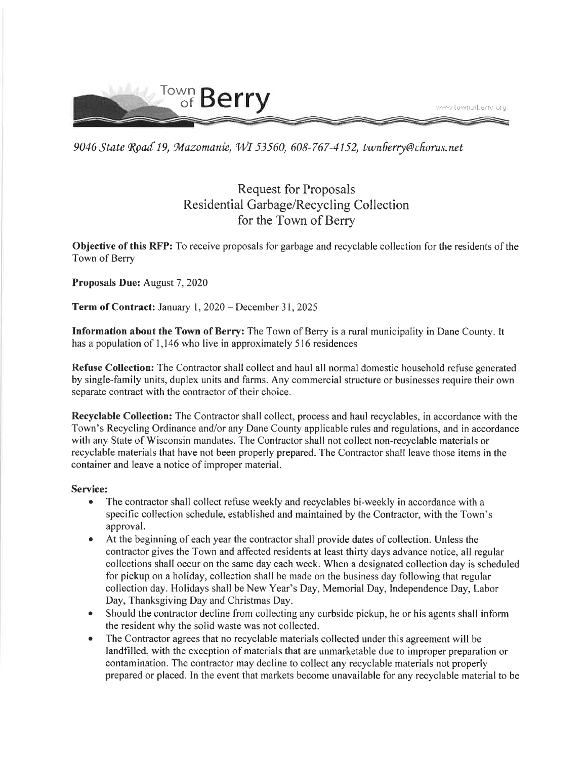

9046 State Road 19, Mazomanie, WI 53560, 608-767-4152, twnfierry@chorus.net

# Request for Proposals Residential Garbage/Recycling Collection for the Town of Berry

Objective of this RFP: To receive proposals for garbage and recyclable collection for the residents of the Town of Berry

### Proposals Due: August 7, 2020

Term of Contract: January 1, 2020 – December 31, 2025

Information about the Town of Berry: The Town of Berry is a rural municipality in Dane County. It has a population of 1,146 who live in approximately 516 residences

Refuse Collection: The Contractor shall collect and haul all normal domestic household refuse generated by single-family units, duplex units and farms. Any commercial structure or businesses require their own separate contract with the contractor of their choice.

Recyclable Collection: The Contractor shall collect, process and haul recyclables, in accordance with the Town's Recycling Ordinance and/or any Dane County applicable rules and regulations, and in accordance with any State of Wisconsin mandates. The Contractor shall not collect non-recyclable materials or recyclable materials that have not been properly prepared. The Contractor shall leave those items in the container and leave a notice of improper material.

#### Service:

- The contractor shall collect refuse weekly and recyclables bi-weekly in accordance with a specific collection schedule, established and maintained by the Contractor, with the Town's approval.
- o At the beginning of each year the contractor shall provide dates of collection. Unless the contractor gives the Town and affected residents at least thirty days advance notice, all regular collections shall occur on the same day each week. When a designated collection day is scheduled for pickup on a holiday, collection shall be made on the business day following that regular collection day. Holidays shall be New Year's Day, Memorial Day, Independence Day, Labor Day, Thanksgiving Day and Christmas Day.
- Should the contractor decline from collecting any curbside pickup, he or his agents shall inform the resident why the solid waste was not collected.
- The Contractor agrees that no recyclable materials collected under this agreement will be landfilled, with the exception of materials that are unmarketable due to improper preparation or contamination. The contractor may decline to collect any recyclable materials not properly prepared or placed. In the event that markets become unavailable for any recyclable material to be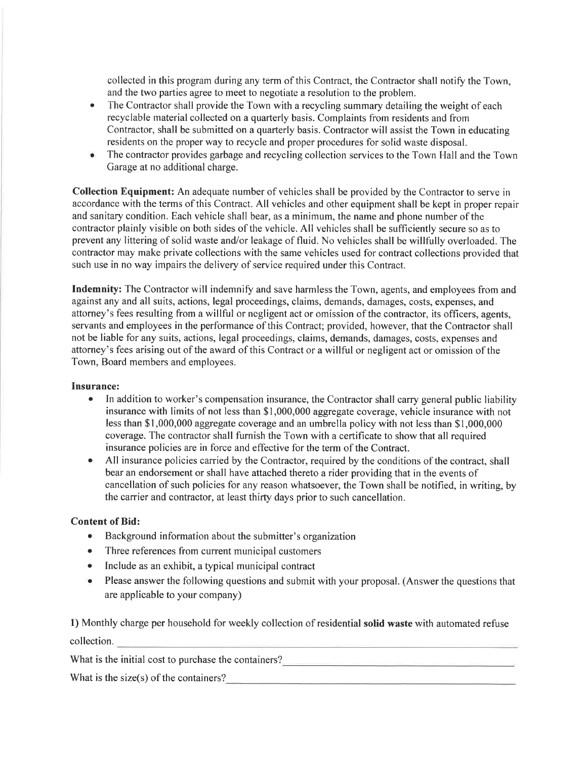collected in this program during any term of this Contract, the Contractor shall notify the Town, and the two parties agree to meet to negotiate a resolution to the problem.

- The Contractor shall provide the Town with a recycling summary detailing the weight of each recyclable material collected on a quarterly basis. Complaints from residents and from Contractor, shall be submitted on a quarterly basis. Contractor will assist the Town in educating residents on the proper way to recycle and proper procedures for solid waste disposal. a
- The contractor provides garbage and recycling collection services to the Town Hall and the Town Garage at no additional charge. a

Collection Equipment: An adequate number of vehicles shall be provided by the Contractor to serve in accordance with the terms of this Contract. All vehicles and other equipment shall be kept in proper repair and sanitary condition. Each vehicle shall bear, as a minimum, the name and phone number of the contractor plainly visible on both sides of the vehicle. All vehicles shall be sufficiently secure so as to prevent any littering of solid waste and/or leakage of fluid. No vehicles shall be willfully overloaded. The contractor may make private collections with the same vehicles used for contract collections provided that such use in no way impairs the delivery of service required under this Contract.

Indemnity: The Contractor will indemnify and save harmless the Town, agents, and employees from and against any and all suits, actions, legal proceedings, claims, demands, damages, costs, expenses, and attorney's fees resulting from a willful or negligent act or omission of the contractor, its officers, agents, servants and employees in the performance of this Contract; provided, however, that the Contractor shall not be liable for any suits, actions, legal proceedings, claims, demands, damages, costs, expenses and attorney's fees arising out of the award of this Contract or a willful or negligent act or omission of the Town, Board members and employees.

#### Insurance:

- In addition to worker's compensation insurance, the Contractor shall carry general public liability insurance with limits of not less than \$1,000,000 aggregate coverage, vehicle insurance with not less than \$1,000,000 aggregate coverage and an umbrella policy with not less than \$1,000,000 coverage. The contractor shall furnish the Town with a certificate to show that all required insurance policies are in force and effective for the term of the Contract.
- All insurance policies carried by the Contractor, required by the conditions of the contract, shall bear an endorsement or shall have attached thereto a rider providing that in the events of cancellation of such policies for any reason whatsoever, the Town shall be notified, in writing, by the carrier and contractor, at least thirty days prior to such cancellation.

#### Content of Bid:

- Background information about the submitter's organization
- Three references from current municipal customers
- Include as an exhibit, a typical municipal contract
- o Please answer the following questions and submit with your proposal. (Answer the questions that are applicable to your company)

l) Monthly charge per household for weekly collection of residential sotid waste with automated refuse collection.

What is the initial cost to purchase the containers?

What is the size(s) of the containers?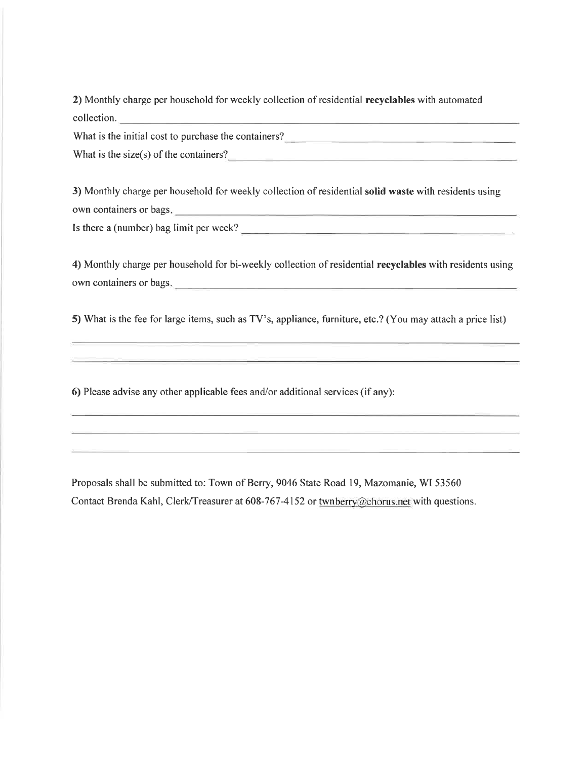2) Monthly charge per household for weekly collection of residential recyclables with automated collection.

What is the initial cost to purchase the containers?

What is the size(s) of the containers?<br> $\frac{1}{2}$ 

3) Monthly charge per household for weekly collection of residential solid waste with residents using own containers or bags.

Is there a (number) bag limit per week?

4) Monthly charge per household for bi-weekly collection of residential recyclables with residents using own containers or bags.

5) What is the fee for large items, such as TV's, appliance, furniture, etc.? (You may attach a price list)

6) Please advise any other applicable fees and/or additional services (if any):

Proposals shall be submitted to: Town of Berry, 9046 State Road 19, Mazomanie, WI 53560 Contact Brenda Kahl, Clerk/Treasurer at 608-767-4152 or twnberry@chorus.net with questions.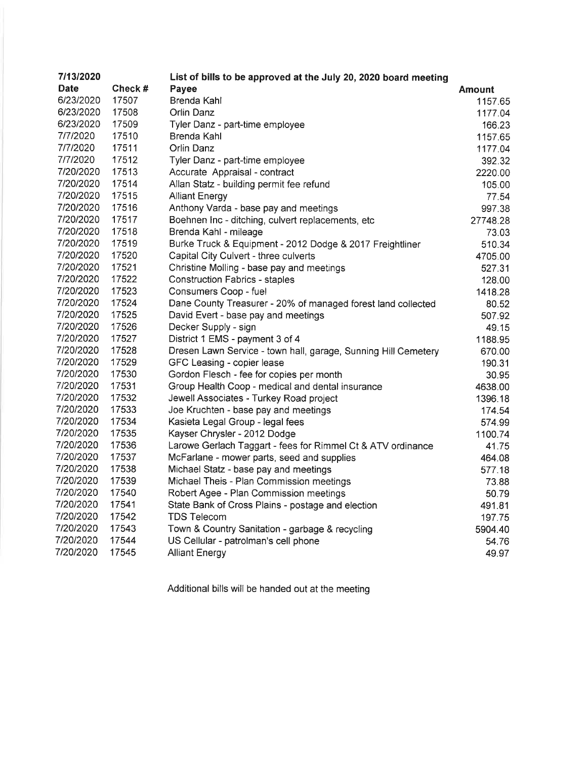| 7/13/2020   |        | List of bills to be approved at the July 20, 2020 board meeting |          |
|-------------|--------|-----------------------------------------------------------------|----------|
| <b>Date</b> | Check# | Payee                                                           | Amount   |
| 6/23/2020   | 17507  | Brenda Kahl                                                     | 1157.65  |
| 6/23/2020   | 17508  | Orlin Danz                                                      | 1177.04  |
| 6/23/2020   | 17509  | Tyler Danz - part-time employee                                 | 166.23   |
| 7/7/2020    | 17510  | Brenda Kahl                                                     | 1157.65  |
| 7/7/2020    | 17511  | Orlin Danz                                                      | 1177.04  |
| 7/7/2020    | 17512  | Tyler Danz - part-time employee                                 | 392.32   |
| 7/20/2020   | 17513  | Accurate Appraisal - contract                                   | 2220.00  |
| 7/20/2020   | 17514  | Allan Statz - building permit fee refund                        | 105.00   |
| 7/20/2020   | 17515  | <b>Alliant Energy</b>                                           | 77.54    |
| 7/20/2020   | 17516  | Anthony Varda - base pay and meetings                           | 997.38   |
| 7/20/2020   | 17517  | Boehnen Inc - ditching, culvert replacements, etc               | 27748.28 |
| 7/20/2020   | 17518  | Brenda Kahl - mileage                                           | 73.03    |
| 7/20/2020   | 17519  | Burke Truck & Equipment - 2012 Dodge & 2017 Freightliner        | 510.34   |
| 7/20/2020   | 17520  | Capital City Culvert - three culverts                           | 4705.00  |
| 7/20/2020   | 17521  | Christine Molling - base pay and meetings                       | 527.31   |
| 7/20/2020   | 17522  | <b>Construction Fabrics - staples</b>                           | 128.00   |
| 7/20/2020   | 17523  | Consumers Coop - fuel                                           | 1418.28  |
| 7/20/2020   | 17524  | Dane County Treasurer - 20% of managed forest land collected    | 80.52    |
| 7/20/2020   | 17525  | David Evert - base pay and meetings                             | 507.92   |
| 7/20/2020   | 17526  | Decker Supply - sign                                            | 49.15    |
| 7/20/2020   | 17527  | District 1 EMS - payment 3 of 4                                 | 1188.95  |
| 7/20/2020   | 17528  | Dresen Lawn Service - town hall, garage, Sunning Hill Cemetery  | 670.00   |
| 7/20/2020   | 17529  | GFC Leasing - copier lease                                      | 190.31   |
| 7/20/2020   | 17530  | Gordon Flesch - fee for copies per month                        | 30.95    |
| 7/20/2020   | 17531  | Group Health Coop - medical and dental insurance                | 4638.00  |
| 7/20/2020   | 17532  | Jewell Associates - Turkey Road project                         | 1396.18  |
| 7/20/2020   | 17533  | Joe Kruchten - base pay and meetings                            | 174.54   |
| 7/20/2020   | 17534  | Kasieta Legal Group - legal fees                                | 574.99   |
| 7/20/2020   | 17535  | Kayser Chrysler - 2012 Dodge                                    | 1100.74  |
| 7/20/2020   | 17536  | Larowe Gerlach Taggart - fees for Rimmel Ct & ATV ordinance     | 41.75    |
| 7/20/2020   | 17537  | McFarlane - mower parts, seed and supplies                      | 464.08   |
| 7/20/2020   | 17538  | Michael Statz - base pay and meetings                           | 577.18   |
| 7/20/2020   | 17539  | Michael Theis - Plan Commission meetings                        | 73.88    |
| 7/20/2020   | 17540  | Robert Agee - Plan Commission meetings                          | 50.79    |
| 7/20/2020   | 17541  | State Bank of Cross Plains - postage and election               | 491.81   |
| 7/20/2020   | 17542  | <b>TDS Telecom</b>                                              | 197.75   |
| 7/20/2020   | 17543  | Town & Country Sanitation - garbage & recycling                 | 5904.40  |
| 7/20/2020   | 17544  | US Cellular - patrolman's cell phone                            | 54.76    |
| 7/20/2020   | 17545  | <b>Alliant Energy</b>                                           | 49.97    |

Additional bills will be handed out at the meeting